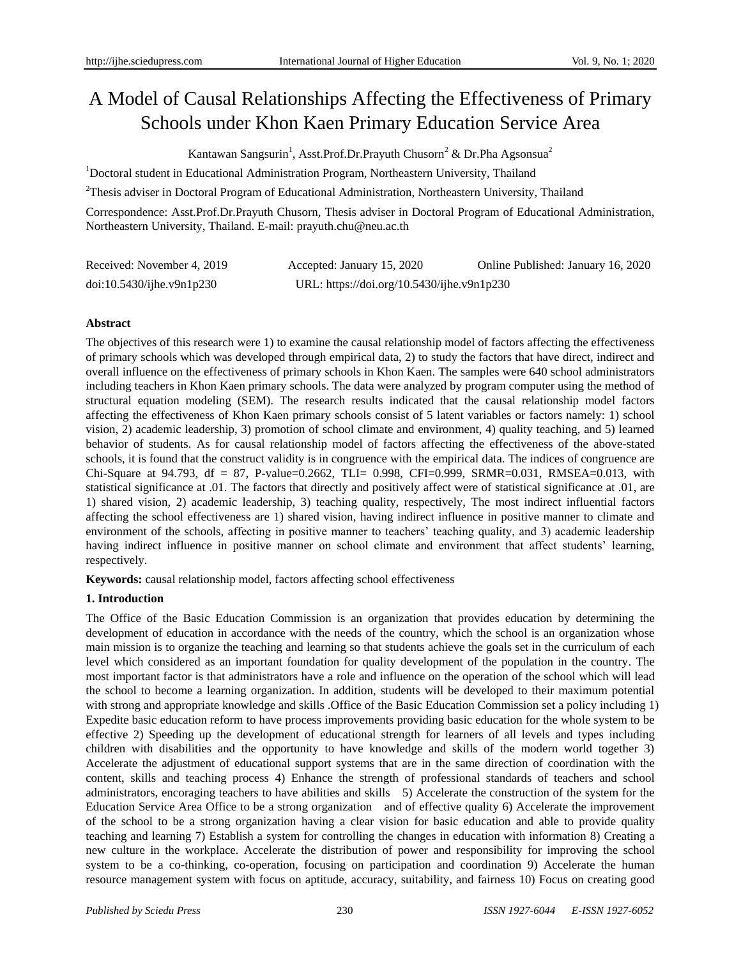# A Model of Causal Relationships Affecting the Effectiveness of Primary Schools under Khon Kaen Primary Education Service Area

Kantawan Sangsurin<sup>1</sup>, Asst.Prof.Dr.Prayuth Chusorn<sup>2</sup> & Dr.Pha Agsonsua<sup>2</sup>

<sup>1</sup>Doctoral student in Educational Administration Program, Northeastern University, Thailand

<sup>2</sup>Thesis adviser in Doctoral Program of Educational Administration, Northeastern University, Thailand

Correspondence: Asst.Prof.Dr.Prayuth Chusorn, Thesis adviser in Doctoral Program of Educational Administration, Northeastern University, Thailand. E-mail: prayuth.chu@neu.ac.th

| Received: November 4, 2019 | Accepted: January 15, 2020                 | Online Published: January 16, 2020 |
|----------------------------|--------------------------------------------|------------------------------------|
| doi:10.5430/ijhe.v9n1p230  | URL: https://doi.org/10.5430/ijhe.v9n1p230 |                                    |

# **Abstract**

The objectives of this research were 1) to examine the causal relationship model of factors affecting the effectiveness of primary schools which was developed through empirical data, 2) to study the factors that have direct, indirect and overall influence on the effectiveness of primary schools in Khon Kaen. The samples were 640 school administrators including teachers in Khon Kaen primary schools. The data were analyzed by program computer using the method of structural equation modeling (SEM). The research results indicated that the causal relationship model factors affecting the effectiveness of Khon Kaen primary schools consist of 5 latent variables or factors namely: 1) school vision, 2) academic leadership, 3) promotion of school climate and environment, 4) quality teaching, and 5) learned behavior of students. As for causal relationship model of factors affecting the effectiveness of the above-stated schools, it is found that the construct validity is in congruence with the empirical data. The indices of congruence are Chi-Square at 94.793, df = 87, P-value=0.2662, TLI= 0.998, CFI=0.999, SRMR=0.031, RMSEA=0.013, with statistical significance at .01. The factors that directly and positively affect were of statistical significance at .01, are 1) shared vision, 2) academic leadership, 3) teaching quality, respectively, The most indirect influential factors affecting the school effectiveness are 1) shared vision, having indirect influence in positive manner to climate and environment of the schools, affecting in positive manner to teachers' teaching quality, and 3) academic leadership having indirect influence in positive manner on school climate and environment that affect students' learning, respectively.

**Keywords:** causal relationship model, factors affecting school effectiveness

# **1. Introduction**

The Office of the Basic Education Commission is an organization that provides education by determining the development of education in accordance with the needs of the country, which the school is an organization whose main mission is to organize the teaching and learning so that students achieve the goals set in the curriculum of each level which considered as an important foundation for quality development of the population in the country. The most important factor is that administrators have a role and influence on the operation of the school which will lead the school to become a learning organization. In addition, students will be developed to their maximum potential with strong and appropriate knowledge and skills .Office of the Basic Education Commission set a policy including 1) Expedite basic education reform to have process improvements providing basic education for the whole system to be effective 2) Speeding up the development of educational strength for learners of all levels and types including children with disabilities and the opportunity to have knowledge and skills of the modern world together 3) Accelerate the adjustment of educational support systems that are in the same direction of coordination with the content, skills and teaching process 4) Enhance the strength of professional standards of teachers and school administrators, encoraging teachers to have abilities and skills 5) Accelerate the construction of the system for the Education Service Area Office to be a strong organization and of effective quality 6) Accelerate the improvement of the school to be a strong organization having a clear vision for basic education and able to provide quality teaching and learning 7) Establish a system for controlling the changes in education with information 8) Creating a new culture in the workplace. Accelerate the distribution of power and responsibility for improving the school system to be a co-thinking, co-operation, focusing on participation and coordination 9) Accelerate the human resource management system with focus on aptitude, accuracy, suitability, and fairness 10) Focus on creating good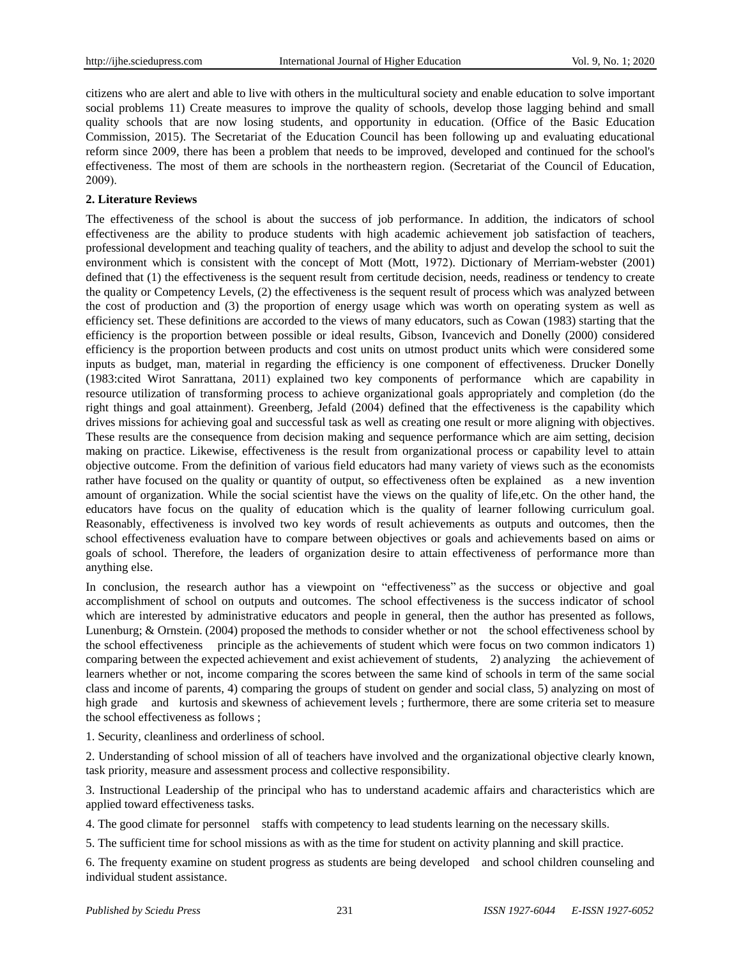citizens who are alert and able to live with others in the multicultural society and enable education to solve important social problems 11) Create measures to improve the quality of schools, develop those lagging behind and small quality schools that are now losing students, and opportunity in education. (Office of the Basic Education Commission, 2015). The Secretariat of the Education Council has been following up and evaluating educational reform since 2009, there has been a problem that needs to be improved, developed and continued for the school's effectiveness. The most of them are schools in the northeastern region. (Secretariat of the Council of Education, 2009).

# **2. Literature Reviews**

The effectiveness of the school is about the success of job performance. In addition, the indicators of school effectiveness are the ability to produce students with high academic achievement job satisfaction of teachers, professional development and teaching quality of teachers, and the ability to adjust and develop the school to suit the environment which is consistent with the concept of Mott (Mott, 1972). Dictionary of Merriam-webster (2001) defined that (1) the effectiveness is the sequent result from certitude decision, needs, readiness or tendency to create the quality or Competency Levels, (2) the effectiveness is the sequent result of process which was analyzed between the cost of production and (3) the proportion of energy usage which was worth on operating system as well as efficiency set. These definitions are accorded to the views of many educators, such as Cowan (1983) starting that the efficiency is the proportion between possible or ideal results, Gibson, Ivancevich and Donelly (2000) considered efficiency is the proportion between products and cost units on utmost product units which were considered some inputs as budget, man, material in regarding the efficiency is one component of effectiveness. Drucker Donelly (1983:cited Wirot Sanrattana, 2011) explained two key components of performance which are capability in resource utilization of transforming process to achieve organizational goals appropriately and completion (do the right things and goal attainment). Greenberg, Jefald (2004) defined that the effectiveness is the capability which drives missions for achieving goal and successful task as well as creating one result or more aligning with objectives. These results are the consequence from decision making and sequence performance which are aim setting, decision making on practice. Likewise, effectiveness is the result from organizational process or capability level to attain objective outcome. From the definition of various field educators had many variety of views such as the economists rather have focused on the quality or quantity of output, so effectiveness often be explained as a new invention amount of organization. While the social scientist have the views on the quality of life,etc. On the other hand, the educators have focus on the quality of education which is the quality of learner following curriculum goal. Reasonably, effectiveness is involved two key words of result achievements as outputs and outcomes, then the school effectiveness evaluation have to compare between objectives or goals and achievements based on aims or goals of school. Therefore, the leaders of organization desire to attain effectiveness of performance more than anything else.

In conclusion, the research author has a viewpoint on "effectiveness" as the success or objective and goal accomplishment of school on outputs and outcomes. The school effectiveness is the success indicator of school which are interested by administrative educators and people in general, then the author has presented as follows, Lunenburg; & Ornstein. (2004) proposed the methods to consider whether or not the school effectiveness school by the school effectiveness principle as the achievements of student which were focus on two common indicators 1) comparing between the expected achievement and exist achievement of students, 2) analyzing the achievement of learners whether or not, income comparing the scores between the same kind of schools in term of the same social class and income of parents, 4) comparing the groups of student on gender and social class, 5) analyzing on most of high grade and kurtosis and skewness of achievement levels ; furthermore, there are some criteria set to measure the school effectiveness as follows ;

1. Security, cleanliness and orderliness of school.

2. Understanding of school mission of all of teachers have involved and the organizational objective clearly known, task priority, measure and assessment process and collective responsibility.

3. Instructional Leadership of the principal who has to understand academic affairs and characteristics which are applied toward effectiveness tasks.

4. The good climate for personnel staffs with competency to lead students learning on the necessary skills.

5. The sufficient time for school missions as with as the time for student on activity planning and skill practice.

6. The frequenty examine on student progress as students are being developed and school children counseling and individual student assistance.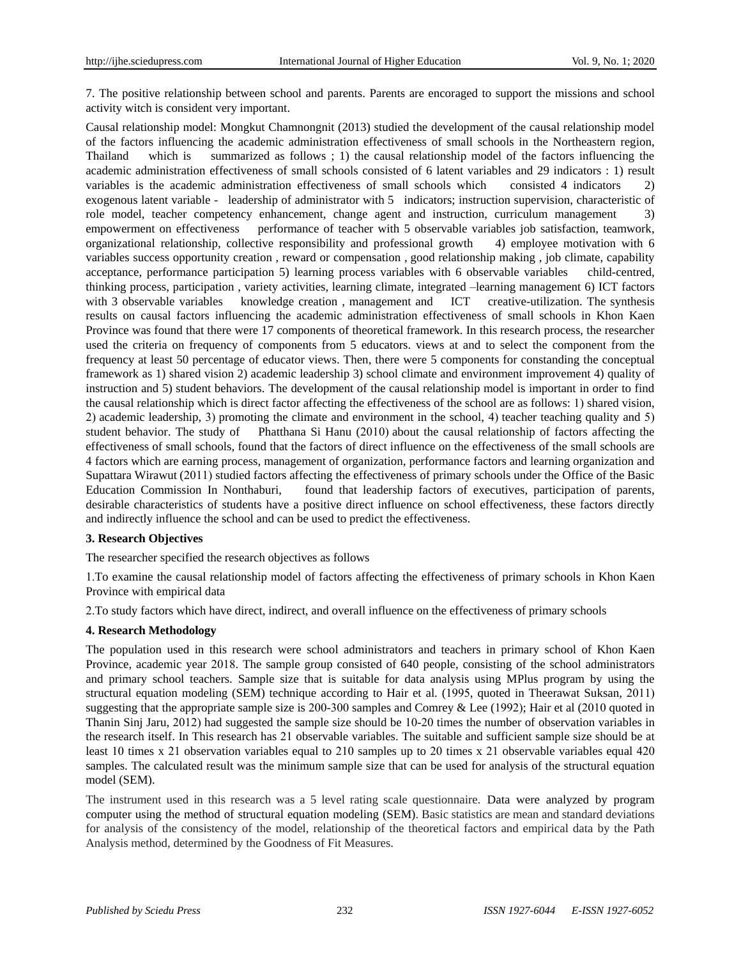7. The positive relationship between school and parents. Parents are encoraged to support the missions and school activity witch is consident very important.

Causal relationship model: Mongkut Chamnongnit (2013) studied the development of the causal relationship model of the factors influencing the academic administration effectiveness of small schools in the Northeastern region, Thailand which is summarized as follows ; 1) the causal relationship model of the factors influencing the academic administration effectiveness of small schools consisted of 6 latent variables and 29 indicators : 1) result variables is the academic administration effectiveness of small schools which consisted 4 indicators 2) exogenous latent variable - leadership of administrator with 5 indicators; instruction supervision, characteristic of role model, teacher competency enhancement, change agent and instruction, curriculum management 3) empowerment on effectiveness performance of teacher with 5 observable variables job satisfaction, teamwork, organizational relationship, collective responsibility and professional growth 4) employee motivation with 6 variables success opportunity creation , reward or compensation , good relationship making , job climate, capability acceptance, performance participation 5) learning process variables with 6 observable variables child-centred, thinking process, participation , variety activities, learning climate, integrated –learning management 6) ICT factors with 3 observable variables knowledge creation, management and ICT creative-utilization. The synthesis results on causal factors influencing the academic administration effectiveness of small schools in Khon Kaen Province was found that there were 17 components of theoretical framework. In this research process, the researcher used the criteria on frequency of components from 5 educators. views at and to select the component from the frequency at least 50 percentage of educator views. Then, there were 5 components for constanding the conceptual framework as 1) shared vision 2) academic leadership 3) school climate and environment improvement 4) quality of instruction and 5) student behaviors. The development of the causal relationship model is important in order to find the causal relationship which is direct factor affecting the effectiveness of the school are as follows: 1) shared vision, 2) academic leadership, 3) promoting the climate and environment in the school, 4) teacher teaching quality and 5) student behavior. The study of Phatthana Si Hanu (2010) about the causal relationship of factors affecting the effectiveness of small schools, found that the factors of direct influence on the effectiveness of the small schools are 4 factors which are earning process, management of organization, performance factors and learning organization and Supattara Wirawut (2011) studied factors affecting the effectiveness of primary schools under the Office of the Basic Education Commission In Nonthaburi, found that leadership factors of executives, participation of parents, desirable characteristics of students have a positive direct influence on school effectiveness, these factors directly and indirectly influence the school and can be used to predict the effectiveness.

# **3. Research Objectives**

The researcher specified the research objectives as follows

1.To examine the causal relationship model of factors affecting the effectiveness of primary schools in Khon Kaen Province with empirical data

2.To study factors which have direct, indirect, and overall influence on the effectiveness of primary schools

# **4. Research Methodology**

The population used in this research were school administrators and teachers in primary school of Khon Kaen Province, academic year 2018. The sample group consisted of 640 people, consisting of the school administrators and primary school teachers. Sample size that is suitable for data analysis using MPlus program by using the structural equation modeling (SEM) technique according to Hair et al. (1995, quoted in Theerawat Suksan, 2011) suggesting that the appropriate sample size is 200-300 samples and Comrey & Lee (1992); Hair et al (2010 quoted in Thanin Sinj Jaru, 2012) had suggested the sample size should be 10-20 times the number of observation variables in the research itself. In This research has 21 observable variables. The suitable and sufficient sample size should be at least 10 times x 21 observation variables equal to 210 samples up to 20 times x 21 observable variables equal 420 samples. The calculated result was the minimum sample size that can be used for analysis of the structural equation model (SEM).

The instrument used in this research was a 5 level rating scale questionnaire. Data were analyzed by program computer using the method of structural equation modeling (SEM). Basic statistics are mean and standard deviations for analysis of the consistency of the model, relationship of the theoretical factors and empirical data by the Path Analysis method, determined by the Goodness of Fit Measures.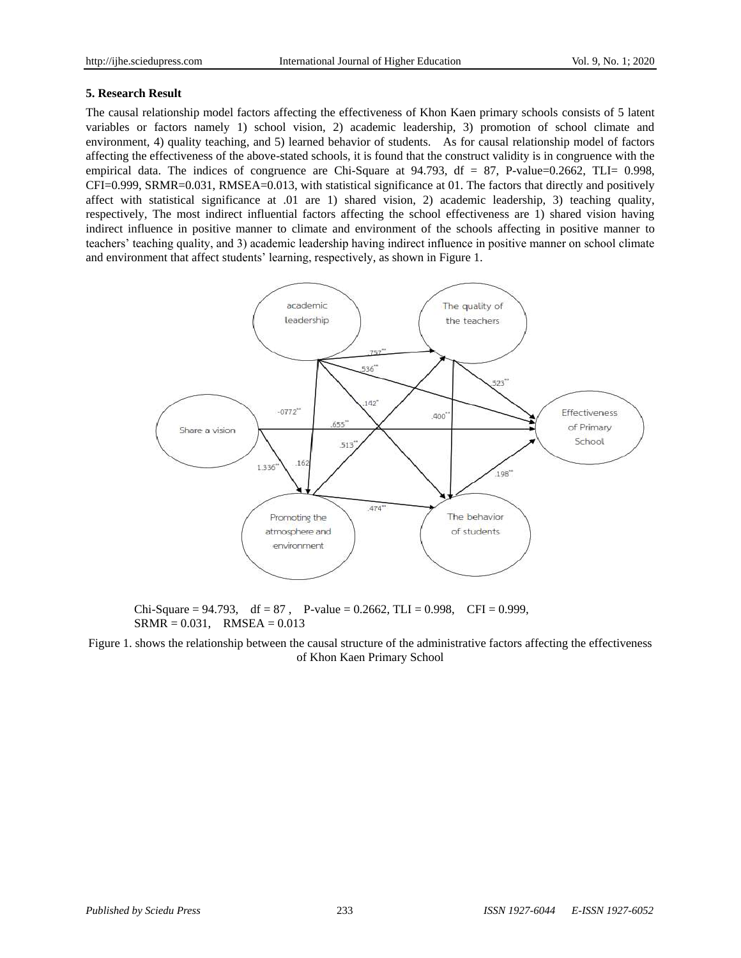# **5. Research Result**

The causal relationship model factors affecting the effectiveness of Khon Kaen primary schools consists of 5 latent variables or factors namely 1) school vision, 2) academic leadership, 3) promotion of school climate and environment, 4) quality teaching, and 5) learned behavior of students. As for causal relationship model of factors affecting the effectiveness of the above-stated schools, it is found that the construct validity is in congruence with the empirical data. The indices of congruence are Chi-Square at 94.793, df = 87, P-value=0.2662, TLI= 0.998, CFI=0.999, SRMR=0.031, RMSEA=0.013, with statistical significance at 01. The factors that directly and positively affect with statistical significance at .01 are 1) shared vision, 2) academic leadership, 3) teaching quality, respectively, The most indirect influential factors affecting the school effectiveness are 1) shared vision having indirect influence in positive manner to climate and environment of the schools affecting in positive manner to teachers' teaching quality, and 3) academic leadership having indirect influence in positive manner on school climate and environment that affect students' learning, respectively, as shown in Figure 1.



Chi-Square = 94.793, df = 87, P-value = 0.2662, TLI = 0.998, CFI = 0.999,  $SRMR = 0.031$ ,  $RMSEA = 0.013$ 

Figure 1. shows the relationship between the causal structure of the administrative factors affecting the effectiveness of Khon Kaen Primary School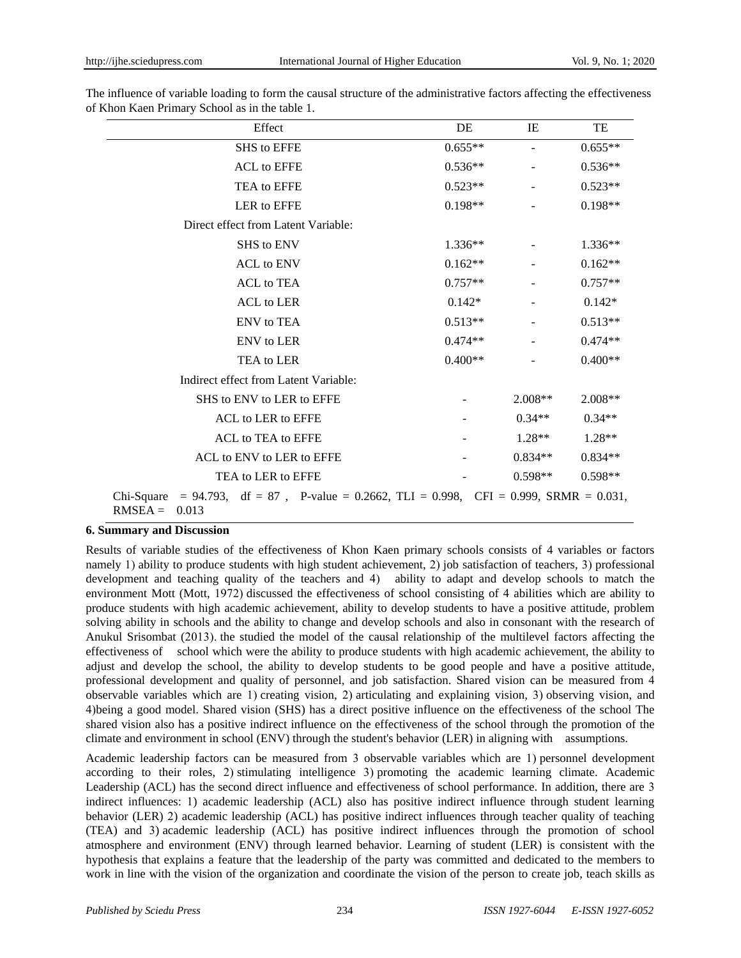| Effect                                                                                                        | DE        | IE                       | TE        |  |
|---------------------------------------------------------------------------------------------------------------|-----------|--------------------------|-----------|--|
| <b>SHS</b> to EFFE                                                                                            | $0.655**$ | $\overline{\phantom{0}}$ | $0.655**$ |  |
| <b>ACL</b> to EFFE                                                                                            | $0.536**$ |                          | $0.536**$ |  |
| TEA to EFFE                                                                                                   | $0.523**$ |                          | $0.523**$ |  |
| LER to EFFE                                                                                                   | $0.198**$ |                          | $0.198**$ |  |
| Direct effect from Latent Variable:                                                                           |           |                          |           |  |
| <b>SHS</b> to ENV                                                                                             | $1.336**$ |                          | $1.336**$ |  |
| <b>ACL</b> to ENV                                                                                             | $0.162**$ |                          | $0.162**$ |  |
| <b>ACL</b> to TEA                                                                                             | $0.757**$ |                          | $0.757**$ |  |
| <b>ACL</b> to LER                                                                                             | $0.142*$  |                          | $0.142*$  |  |
| <b>ENV</b> to <b>TEA</b>                                                                                      | $0.513**$ |                          | $0.513**$ |  |
| <b>ENV</b> to LER                                                                                             | $0.474**$ |                          | $0.474**$ |  |
| TEA to LER                                                                                                    | $0.400**$ |                          | $0.400**$ |  |
| Indirect effect from Latent Variable:                                                                         |           |                          |           |  |
| SHS to ENV to LER to EFFE                                                                                     |           | $2.008**$                | $2.008**$ |  |
| ACL to LER to EFFE                                                                                            |           | $0.34**$                 | $0.34**$  |  |
| ACL to TEA to EFFE                                                                                            |           | $1.28**$                 | $1.28**$  |  |
| ACL to ENV to LER to EFFE                                                                                     |           | $0.834**$                | $0.834**$ |  |
| TEA to LER to EFFE                                                                                            |           | $0.598**$                | $0.598**$ |  |
| Chi-Square = 94.793, df = 87, P-value = 0.2662, TLI = 0.998, CFI = 0.999, SRMR = 0.031,<br>$RMSEA =$<br>0.013 |           |                          |           |  |

The influence of variable loading to form the causal structure of the administrative factors affecting the effectiveness of Khon Kaen Primary School as in the table 1.

# **6. Summary and Discussion**

Results of variable studies of the effectiveness of Khon Kaen primary schools consists of 4 variables or factors namely 1) ability to produce students with high student achievement, 2) job satisfaction of teachers, 3) professional development and teaching quality of the teachers and 4) ability to adapt and develop schools to match the environment Mott (Mott, 1972) discussed the effectiveness of school consisting of 4 abilities which are ability to produce students with high academic achievement, ability to develop students to have a positive attitude, problem solving ability in schools and the ability to change and develop schools and also in consonant with the research of Anukul Srisombat (2013). the studied the model of the causal relationship of the multilevel factors affecting the effectiveness of school which were the ability to produce students with high academic achievement, the ability to adjust and develop the school, the ability to develop students to be good people and have a positive attitude, professional development and quality of personnel, and job satisfaction. Shared vision can be measured from 4 observable variables which are 1) creating vision, 2) articulating and explaining vision, 3) observing vision, and 4)being a good model. Shared vision (SHS) has a direct positive influence on the effectiveness of the school The shared vision also has a positive indirect influence on the effectiveness of the school through the promotion of the climate and environment in school (ENV) through the student's behavior (LER) in aligning with assumptions.

Academic leadership factors can be measured from 3 observable variables which are 1) personnel development according to their roles, 2) stimulating intelligence 3) promoting the academic learning climate. Academic Leadership (ACL) has the second direct influence and effectiveness of school performance. In addition, there are 3 indirect influences: 1) academic leadership (ACL) also has positive indirect influence through student learning behavior (LER) 2) academic leadership (ACL) has positive indirect influences through teacher quality of teaching (TEA) and 3) academic leadership (ACL) has positive indirect influences through the promotion of school atmosphere and environment (ENV) through learned behavior. Learning of student (LER) is consistent with the hypothesis that explains a feature that the leadership of the party was committed and dedicated to the members to work in line with the vision of the organization and coordinate the vision of the person to create job, teach skills as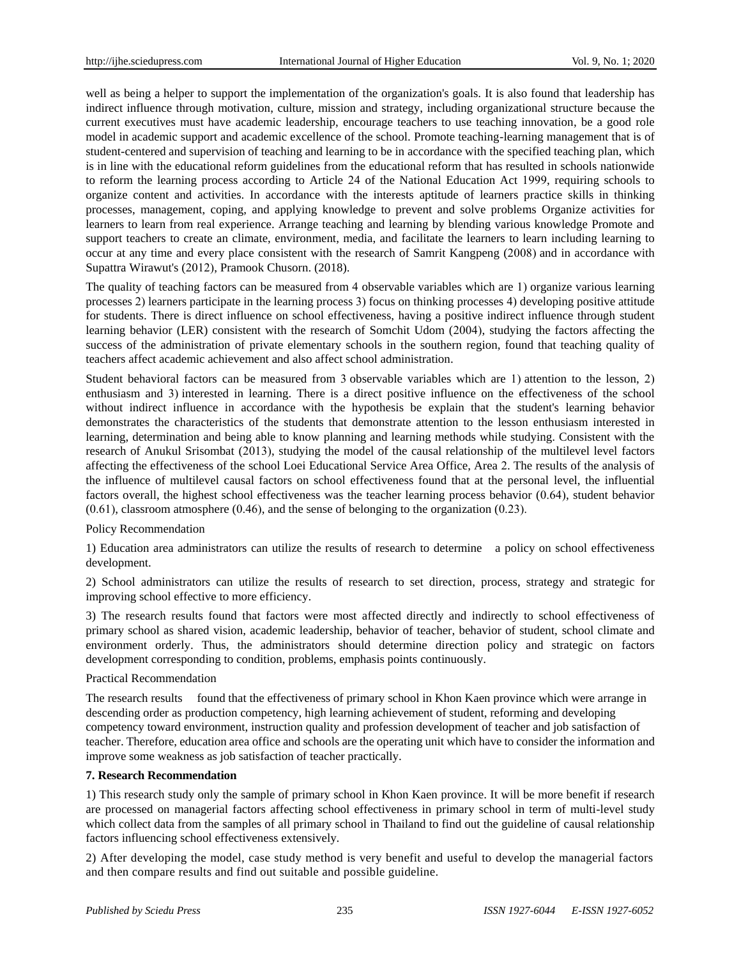well as being a helper to support the implementation of the organization's goals. It is also found that leadership has indirect influence through motivation, culture, mission and strategy, including organizational structure because the current executives must have academic leadership, encourage teachers to use teaching innovation, be a good role model in academic support and academic excellence of the school. Promote teaching-learning management that is of student-centered and supervision of teaching and learning to be in accordance with the specified teaching plan, which is in line with the educational reform guidelines from the educational reform that has resulted in schools nationwide to reform the learning process according to Article 24 of the National Education Act 1999, requiring schools to organize content and activities. In accordance with the interests aptitude of learners practice skills in thinking processes, management, coping, and applying knowledge to prevent and solve problems Organize activities for learners to learn from real experience. Arrange teaching and learning by blending various knowledge Promote and support teachers to create an climate, environment, media, and facilitate the learners to learn including learning to occur at any time and every place consistent with the research of Samrit Kangpeng (2008) and in accordance with Supattra Wirawut's (2012), Pramook Chusorn. (2018).

The quality of teaching factors can be measured from 4 observable variables which are 1) organize various learning processes 2) learners participate in the learning process 3) focus on thinking processes 4) developing positive attitude for students. There is direct influence on school effectiveness, having a positive indirect influence through student learning behavior (LER) consistent with the research of Somchit Udom (2004), studying the factors affecting the success of the administration of private elementary schools in the southern region, found that teaching quality of teachers affect academic achievement and also affect school administration.

Student behavioral factors can be measured from 3 observable variables which are 1) attention to the lesson, 2) enthusiasm and 3) interested in learning. There is a direct positive influence on the effectiveness of the school without indirect influence in accordance with the hypothesis be explain that the student's learning behavior demonstrates the characteristics of the students that demonstrate attention to the lesson enthusiasm interested in learning, determination and being able to know planning and learning methods while studying. Consistent with the research of Anukul Srisombat (2013), studying the model of the causal relationship of the multilevel level factors affecting the effectiveness of the school Loei Educational Service Area Office, Area 2. The results of the analysis of the influence of multilevel causal factors on school effectiveness found that at the personal level, the influential factors overall, the highest school effectiveness was the teacher learning process behavior (0.64), student behavior (0.61), classroom atmosphere (0.46), and the sense of belonging to the organization (0.23).

# Policy Recommendation

1) Education area administrators can utilize the results of research to determine a policy on school effectiveness development.

2) School administrators can utilize the results of research to set direction, process, strategy and strategic for improving school effective to more efficiency.

3) The research results found that factors were most affected directly and indirectly to school effectiveness of primary school as shared vision, academic leadership, behavior of teacher, behavior of student, school climate and environment orderly. Thus, the administrators should determine direction policy and strategic on factors development corresponding to condition, problems, emphasis points continuously.

# Practical Recommendation

The research results found that the effectiveness of primary school in Khon Kaen province which were arrange in descending order as production competency, high learning achievement of student, reforming and developing competency toward environment, instruction quality and profession development of teacher and job satisfaction of teacher. Therefore, education area office and schools are the operating unit which have to consider the information and improve some weakness as job satisfaction of teacher practically.

# **7. Research Recommendation**

1) This research study only the sample of primary school in Khon Kaen province. It will be more benefit if research are processed on managerial factors affecting school effectiveness in primary school in term of multi-level study which collect data from the samples of all primary school in Thailand to find out the guideline of causal relationship factors influencing school effectiveness extensively.

2) After developing the model, case study method is very benefit and useful to develop the managerial factors and then compare results and find out suitable and possible guideline.